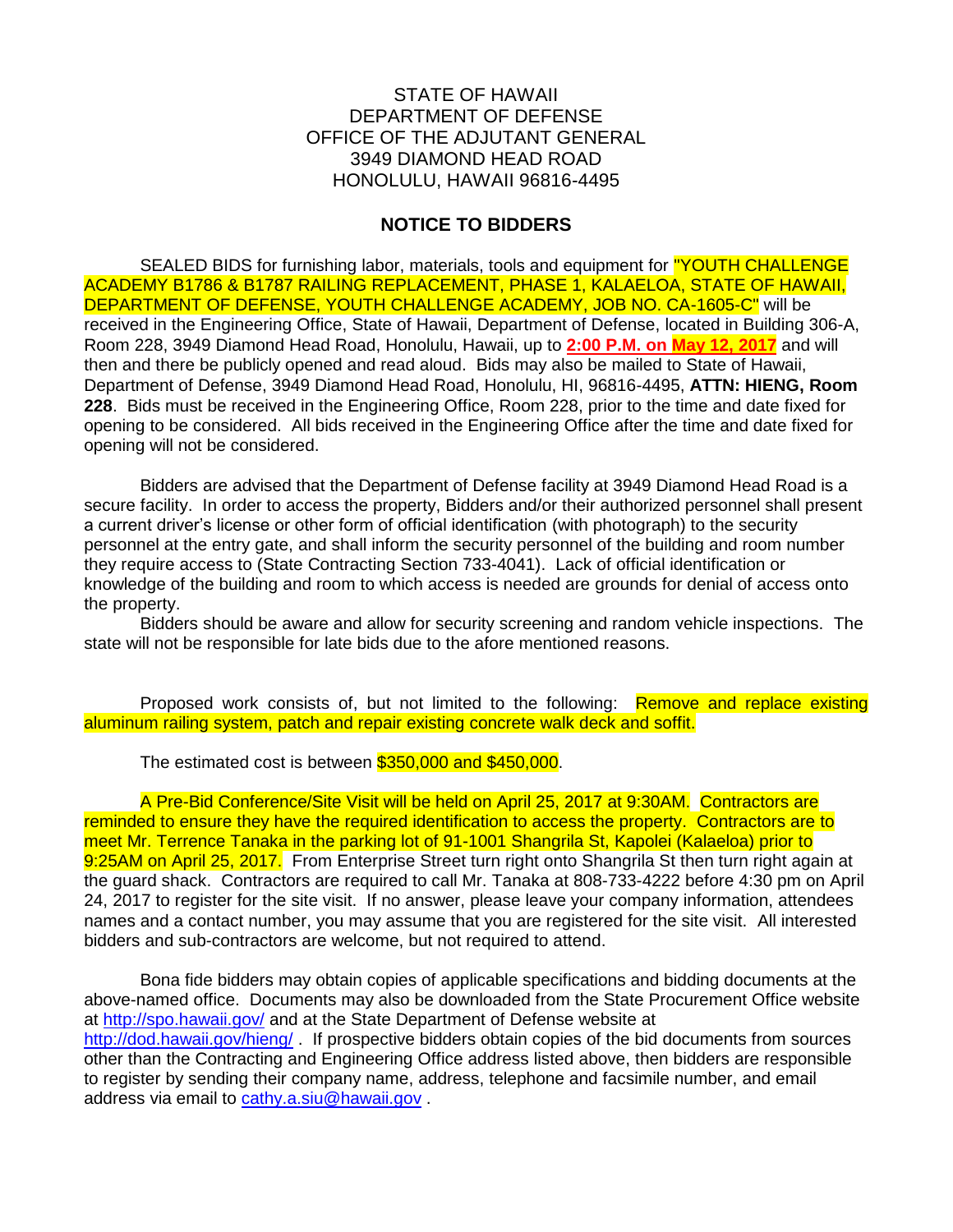## STATE OF HAWAII DEPARTMENT OF DEFENSE OFFICE OF THE ADJUTANT GENERAL 3949 DIAMOND HEAD ROAD HONOLULU, HAWAII 96816-4495

## **NOTICE TO BIDDERS**

SEALED BIDS for furnishing labor, materials, tools and equipment for "YOUTH CHALLENGE ACADEMY B1786 & B1787 RAILING REPLACEMENT, PHASE 1, KALAELOA, STATE OF HAWAII, DEPARTMENT OF DEFENSE, YOUTH CHALLENGE ACADEMY, JOB NO. CA-1605-C" will be received in the Engineering Office, State of Hawaii, Department of Defense, located in Building 306-A, Room 228, 3949 Diamond Head Road, Honolulu, Hawaii, up to **2:00 P.M. on May 12, 2017** and will then and there be publicly opened and read aloud. Bids may also be mailed to State of Hawaii, Department of Defense, 3949 Diamond Head Road, Honolulu, HI, 96816-4495, **ATTN: HIENG, Room 228**. Bids must be received in the Engineering Office, Room 228, prior to the time and date fixed for opening to be considered. All bids received in the Engineering Office after the time and date fixed for opening will not be considered.

Bidders are advised that the Department of Defense facility at 3949 Diamond Head Road is a secure facility. In order to access the property, Bidders and/or their authorized personnel shall present a current driver's license or other form of official identification (with photograph) to the security personnel at the entry gate, and shall inform the security personnel of the building and room number they require access to (State Contracting Section 733-4041). Lack of official identification or knowledge of the building and room to which access is needed are grounds for denial of access onto the property.

Bidders should be aware and allow for security screening and random vehicle inspections. The state will not be responsible for late bids due to the afore mentioned reasons.

Proposed work consists of, but not limited to the following: Remove and replace existing aluminum railing system, patch and repair existing concrete walk deck and soffit.

The estimated cost is between \$350,000 and \$450,000.

A Pre-Bid Conference/Site Visit will be held on April 25, 2017 at 9:30AM. Contractors are reminded to ensure they have the required identification to access the property. Contractors are to meet Mr. Terrence Tanaka in the parking lot of 91-1001 Shangrila St, Kapolei (Kalaeloa) prior to 9:25AM on April 25, 2017. From Enterprise Street turn right onto Shangrila St then turn right again at the guard shack. Contractors are required to call Mr. Tanaka at 808-733-4222 before 4:30 pm on April 24, 2017 to register for the site visit. If no answer, please leave your company information, attendees names and a contact number, you may assume that you are registered for the site visit. All interested bidders and sub-contractors are welcome, but not required to attend.

Bona fide bidders may obtain copies of applicable specifications and bidding documents at the above-named office. Documents may also be downloaded from the State Procurement Office website at<http://spo.hawaii.gov/> and at the State Department of Defense website at <http://dod.hawaii.gov/hieng/> . If prospective bidders obtain copies of the bid documents from sources other than the Contracting and Engineering Office address listed above, then bidders are responsible to register by sending their company name, address, telephone and facsimile number, and email address via email to [cathy.a.siu@hawaii.gov](mailto:cathy.a.siu@hawaii.gov) .